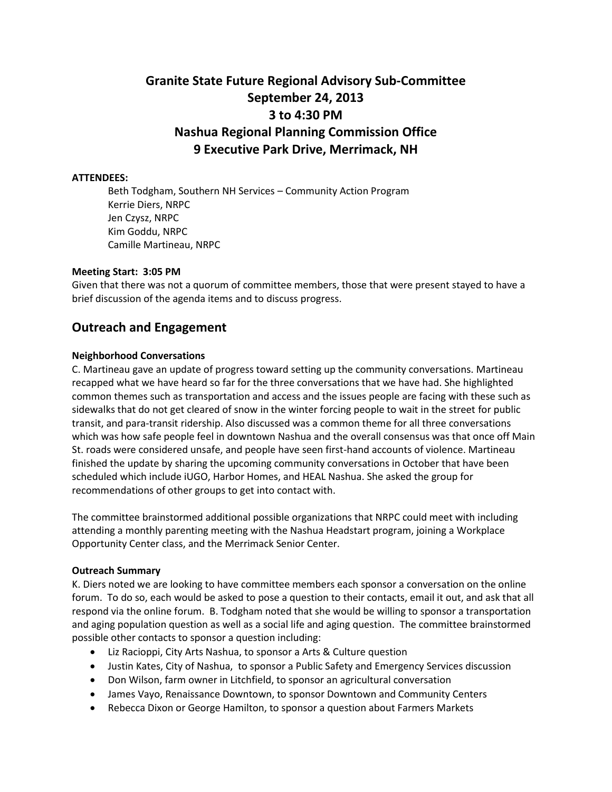# **Granite State Future Regional Advisory Sub-Committee September 24, 2013 3 to 4:30 PM Nashua Regional Planning Commission Office 9 Executive Park Drive, Merrimack, NH**

### **ATTENDEES:**

Beth Todgham, Southern NH Services – Community Action Program Kerrie Diers, NRPC Jen Czysz, NRPC Kim Goddu, NRPC Camille Martineau, NRPC

### **Meeting Start: 3:05 PM**

Given that there was not a quorum of committee members, those that were present stayed to have a brief discussion of the agenda items and to discuss progress.

# **Outreach and Engagement**

### **Neighborhood Conversations**

C. Martineau gave an update of progress toward setting up the community conversations. Martineau recapped what we have heard so far for the three conversations that we have had. She highlighted common themes such as transportation and access and the issues people are facing with these such as sidewalks that do not get cleared of snow in the winter forcing people to wait in the street for public transit, and para-transit ridership. Also discussed was a common theme for all three conversations which was how safe people feel in downtown Nashua and the overall consensus was that once off Main St. roads were considered unsafe, and people have seen first-hand accounts of violence. Martineau finished the update by sharing the upcoming community conversations in October that have been scheduled which include iUGO, Harbor Homes, and HEAL Nashua. She asked the group for recommendations of other groups to get into contact with.

The committee brainstormed additional possible organizations that NRPC could meet with including attending a monthly parenting meeting with the Nashua Headstart program, joining a Workplace Opportunity Center class, and the Merrimack Senior Center.

### **Outreach Summary**

K. Diers noted we are looking to have committee members each sponsor a conversation on the online forum. To do so, each would be asked to pose a question to their contacts, email it out, and ask that all respond via the online forum. B. Todgham noted that she would be willing to sponsor a transportation and aging population question as well as a social life and aging question. The committee brainstormed possible other contacts to sponsor a question including:

- Liz Racioppi, City Arts Nashua, to sponsor a Arts & Culture question
- Justin Kates, City of Nashua, to sponsor a Public Safety and Emergency Services discussion
- Don Wilson, farm owner in Litchfield, to sponsor an agricultural conversation
- James Vayo, Renaissance Downtown, to sponsor Downtown and Community Centers
- Rebecca Dixon or George Hamilton, to sponsor a question about Farmers Markets